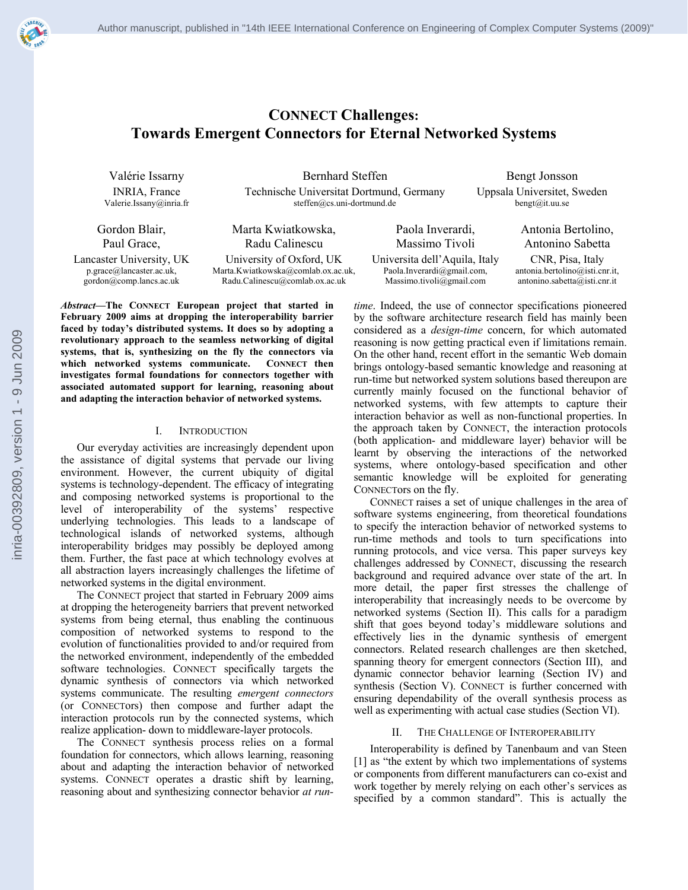

# **CONNECT Challenges: Towards Emergent Connectors for Eternal Networked Systems**

Valérie Issarny Bernhard Steffen Bengt Jonsson INRIA, France Technische Universitat Dortmund, Germany Uppsala Universitet, Sweden Valerie.Issany@inria.fr steffen@cs.uni-dortmund.de bengt@it.uu.se

Gordon Blair, Paul Grace,

Marta Kwiatkowska, Radu Calinescu Lancaster University, UK University of Oxford, UK Universita dell'Aquila, Italy CNR, Pisa, Italy

p.grace@lancaster.ac.uk, gordon@comp.lancs.ac.uk

Marta.Kwiatkowska@comlab.ox.ac.uk, Radu.Calinescu@comlab.ox.ac.uk

*Abstract***—The CONNECT European project that started in February 2009 aims at dropping the interoperability barrier faced by today's distributed systems. It does so by adopting a revolutionary approach to the seamless networking of digital systems, that is, synthesizing on the fly the connectors via which networked systems communicate. CONNECT then investigates formal foundations for connectors together with associated automated support for learning, reasoning about and adapting the interaction behavior of networked systems.** 

### I. INTRODUCTION

Our everyday activities are increasingly dependent upon the assistance of digital systems that pervade our living environment. However, the current ubiquity of digital systems is technology-dependent. The efficacy of integrating and composing networked systems is proportional to the level of interoperability of the systems' respective underlying technologies. This leads to a landscape of technological islands of networked systems, although interoperability bridges may possibly be deployed among them. Further, the fast pace at which technology evolves at all abstraction layers increasingly challenges the lifetime of networked systems in the digital environment.

The CONNECT project that started in February 2009 aims at dropping the heterogeneity barriers that prevent networked systems from being eternal, thus enabling the continuous composition of networked systems to respond to the evolution of functionalities provided to and/or required from the networked environment, independently of the embedded software technologies. CONNECT specifically targets the dynamic synthesis of connectors via which networked systems communicate. The resulting *emergent connectors* (or CONNECTors) then compose and further adapt the interaction protocols run by the connected systems, which realize application- down to middleware-layer protocols.

The CONNECT synthesis process relies on a formal foundation for connectors, which allows learning, reasoning about and adapting the interaction behavior of networked systems. CONNECT operates a drastic shift by learning, reasoning about and synthesizing connector behavior *at run-*

Paola Inverardi, Massimo Tivoli Paola.Inverardi@gmail.com, Massimo.tivoli@gmail.com

Antonia Bertolino, Antonino Sabetta antonia.bertolino@isti.cnr.it, antonino.sabetta@isti.cnr.it

*time*. Indeed, the use of connector specifications pioneered by the software architecture research field has mainly been considered as a *design-time* concern, for which automated reasoning is now getting practical even if limitations remain. On the other hand, recent effort in the semantic Web domain brings ontology-based semantic knowledge and reasoning at run-time but networked system solutions based thereupon are currently mainly focused on the functional behavior of networked systems, with few attempts to capture their interaction behavior as well as non-functional properties. In the approach taken by CONNECT, the interaction protocols (both application- and middleware layer) behavior will be learnt by observing the interactions of the networked systems, where ontology-based specification and other semantic knowledge will be exploited for generating CONNECTors on the fly.

CONNECT raises a set of unique challenges in the area of software systems engineering, from theoretical foundations to specify the interaction behavior of networked systems to run-time methods and tools to turn specifications into running protocols, and vice versa. This paper surveys key challenges addressed by CONNECT, discussing the research background and required advance over state of the art. In more detail, the paper first stresses the challenge of interoperability that increasingly needs to be overcome by networked systems (Section II). This calls for a paradigm shift that goes beyond today's middleware solutions and effectively lies in the dynamic synthesis of emergent connectors. Related research challenges are then sketched, spanning theory for emergent connectors (Section III), and dynamic connector behavior learning (Section IV) and synthesis (Section V). CONNECT is further concerned with ensuring dependability of the overall synthesis process as well as experimenting with actual case studies (Section VI).

### II. THE CHALLENGE OF INTEROPERABILITY

Interoperability is defined by Tanenbaum and van Steen [1] as "the extent by which two implementations of systems or components from different manufacturers can co-exist and work together by merely relying on each other's services as specified by a common standard". This is actually the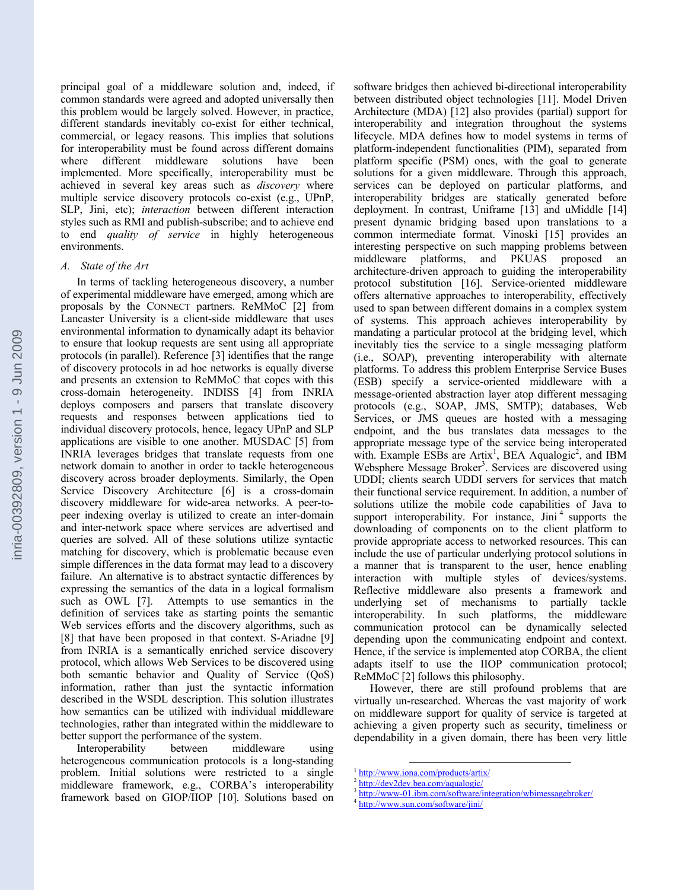principal goal of a middleware solution and, indeed, if common standards were agreed and adopted universally then this problem would be largely solved. However, in practice, different standards inevitably co-exist for either technical, commercial, or legacy reasons. This implies that solutions for interoperability must be found across different domains where different middleware solutions have been implemented. More specifically, interoperability must be achieved in several key areas such as *discovery* where multiple service discovery protocols co-exist (e.g., UPnP, SLP, Jini, etc); *interaction* between different interaction styles such as RMI and publish-subscribe; and to achieve end to end *quality of service* in highly heterogeneous environments.

### *A. State of the Art*

In terms of tackling heterogeneous discovery, a number of experimental middleware have emerged, among which are proposals by the CONNECT partners. ReMMoC [2] from Lancaster University is a client-side middleware that uses environmental information to dynamically adapt its behavior to ensure that lookup requests are sent using all appropriate protocols (in parallel). Reference [3] identifies that the range of discovery protocols in ad hoc networks is equally diverse and presents an extension to ReMMoC that copes with this cross-domain heterogeneity. INDISS [4] from INRIA deploys composers and parsers that translate discovery requests and responses between applications tied to individual discovery protocols, hence, legacy UPnP and SLP applications are visible to one another. MUSDAC [5] from INRIA leverages bridges that translate requests from one network domain to another in order to tackle heterogeneous discovery across broader deployments. Similarly, the Open Service Discovery Architecture [6] is a cross-domain discovery middleware for wide-area networks. A peer-topeer indexing overlay is utilized to create an inter-domain and inter-network space where services are advertised and queries are solved. All of these solutions utilize syntactic matching for discovery, which is problematic because even simple differences in the data format may lead to a discovery failure. An alternative is to abstract syntactic differences by expressing the semantics of the data in a logical formalism such as OWL [7]. Attempts to use semantics in the definition of services take as starting points the semantic Web services efforts and the discovery algorithms, such as [8] that have been proposed in that context. S-Ariadne [9] from INRIA is a semantically enriched service discovery protocol, which allows Web Services to be discovered using both semantic behavior and Quality of Service (QoS) information, rather than just the syntactic information described in the WSDL description. This solution illustrates how semantics can be utilized with individual middleware technologies, rather than integrated within the middleware to better support the performance of the system.<br>Interoperability between middle

Interoperability between middleware using heterogeneous communication protocols is a long-standing problem. Initial solutions were restricted to a single middleware framework, e.g., CORBA's interoperability framework based on GIOP/IIOP [10]. Solutions based on

software bridges then achieved bi-directional interoperability between distributed object technologies [11]. Model Driven Architecture (MDA) [12] also provides (partial) support for interoperability and integration throughout the systems lifecycle. MDA defines how to model systems in terms of platform-independent functionalities (PIM), separated from platform specific (PSM) ones, with the goal to generate solutions for a given middleware. Through this approach, services can be deployed on particular platforms, and interoperability bridges are statically generated before deployment. In contrast, Uniframe [13] and uMiddle [14] present dynamic bridging based upon translations to a common intermediate format. Vinoski [15] provides an interesting perspective on such mapping problems between middleware platforms, and PKUAS proposed an architecture-driven approach to guiding the interoperability protocol substitution [16]. Service-oriented middleware offers alternative approaches to interoperability, effectively used to span between different domains in a complex system of systems. This approach achieves interoperability by mandating a particular protocol at the bridging level, which inevitably ties the service to a single messaging platform (i.e., SOAP), preventing interoperability with alternate platforms. To address this problem Enterprise Service Buses (ESB) specify a service-oriented middleware with a message-oriented abstraction layer atop different messaging protocols (e.g., SOAP, JMS, SMTP); databases, Web Services, or JMS queues are hosted with a messaging endpoint, and the bus translates data messages to the appropriate message type of the service being interoperated with. Example ESBs are Artix<sup>1</sup>, BEA Aqualogic<sup>2</sup>, and IBM Websphere Message Broker<sup>3</sup>. Services are discovered using UDDI; clients search UDDI servers for services that match their functional service requirement. In addition, a number of solutions utilize the mobile code capabilities of Java to support interoperability. For instance, Jini<sup>4</sup> supports the downloading of components on to the client platform to provide appropriate access to networked resources. This can include the use of particular underlying protocol solutions in a manner that is transparent to the user, hence enabling interaction with multiple styles of devices/systems. Reflective middleware also presents a framework and underlying set of mechanisms to partially tackle interoperability. In such platforms, the middleware communication protocol can be dynamically selected depending upon the communicating endpoint and context. Hence, if the service is implemented atop CORBA, the client adapts itself to use the IIOP communication protocol; ReMMoC [2] follows this philosophy.

However, there are still profound problems that are virtually un-researched. Whereas the vast majority of work on middleware support for quality of service is targeted at achieving a given property such as security, timeliness or dependability in a given domain, there has been very little

 $\frac{1}{2}$  http://www.iona.com/products/artix/<br> $\frac{1}{2}$  http://dev2de<u>v.bea.com/aqualogic/</u>

<sup>&</sup>lt;sup>3</sup> http://www-01.ibm.com/software/integration/wbimessagebroker/ 4 http://www.sun.com/software/jini/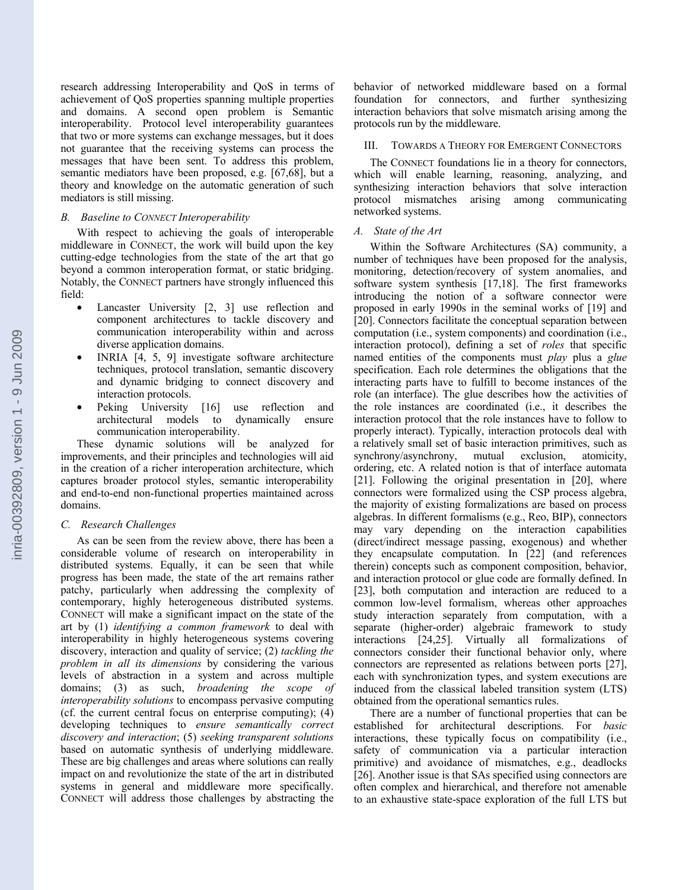research addressing Interoperability and QoS in terms of achievement of QoS properties spanning multiple properties and domains. A second open problem is Semantic interoperability. Protocol level interoperability guarantees that two or more systems can exchange messages, but it does not guarantee that the receiving systems can process the messages that have been sent. To address this problem, semantic mediators have been proposed, e.g. [67,68], but a theory and knowledge on the automatic generation of such mediators is still missing.

### *B. Baseline to CONNECT Interoperability*

With respect to achieving the goals of interoperable middleware in CONNECT, the work will build upon the key cutting-edge technologies from the state of the art that go beyond a common interoperation format, or static bridging. Notably, the CONNECT partners have strongly influenced this field:

- Lancaster University  $[2, 3]$  use reflection and component architectures to tackle discovery and communication interoperability within and across diverse application domains.
- INRIA [4, 5, 9] investigate software architecture techniques, protocol translation, semantic discovery and dynamic bridging to connect discovery and interaction protocols.
- Peking University [16] use reflection and architectural models to dynamically ensure communication interoperability.

These dynamic solutions will be analyzed for improvements, and their principles and technologies will aid in the creation of a richer interoperation architecture, which captures broader protocol styles, semantic interoperability and end-to-end non-functional properties maintained across domains.

### *C. Research Challenges*

As can be seen from the review above, there has been a considerable volume of research on interoperability in distributed systems. Equally, it can be seen that while progress has been made, the state of the art remains rather patchy, particularly when addressing the complexity of contemporary, highly heterogeneous distributed systems. CONNECT will make a significant impact on the state of the art by (1) *identifying a common framework* to deal with interoperability in highly heterogeneous systems covering discovery, interaction and quality of service; (2) *tackling the problem in all its dimensions* by considering the various levels of abstraction in a system and across multiple domains; (3) as such, *broadening the scope of interoperability solutions* to encompass pervasive computing (cf. the current central focus on enterprise computing); (4) developing techniques to *ensure semantically correct discovery and interaction*; (5) *seeking transparent solutions* based on automatic synthesis of underlying middleware. These are big challenges and areas where solutions can really impact on and revolutionize the state of the art in distributed systems in general and middleware more specifically. CONNECT will address those challenges by abstracting the

behavior of networked middleware based on a formal foundation for connectors, and further synthesizing interaction behaviors that solve mismatch arising among the protocols run by the middleware.

### III. TOWARDS A THEORY FOR EMERGENT CONNECTORS

The CONNECT foundations lie in a theory for connectors, which will enable learning, reasoning, analyzing, and synthesizing interaction behaviors that solve interaction protocol mismatches arising among communicating networked systems.

### *A. State of the Art*

Within the Software Architectures (SA) community, a number of techniques have been proposed for the analysis, monitoring, detection/recovery of system anomalies, and software system synthesis [17,18]. The first frameworks introducing the notion of a software connector were proposed in early 1990s in the seminal works of [19] and [20]. Connectors facilitate the conceptual separation between computation (i.e., system components) and coordination (i.e., interaction protocol), defining a set of *roles* that specific named entities of the components must *play* plus a *glue* specification. Each role determines the obligations that the interacting parts have to fulfill to become instances of the role (an interface). The glue describes how the activities of the role instances are coordinated (i.e., it describes the interaction protocol that the role instances have to follow to properly interact). Typically, interaction protocols deal with a relatively small set of basic interaction primitives, such as synchrony/asynchrony, mutual exclusion, atomicity, ordering, etc. A related notion is that of interface automata [21]. Following the original presentation in [20], where connectors were formalized using the CSP process algebra, the majority of existing formalizations are based on process algebras. In different formalisms (e.g., Reo, BIP), connectors may vary depending on the interaction capabilities (direct/indirect message passing, exogenous) and whether they encapsulate computation. In [22] (and references therein) concepts such as component composition, behavior, and interaction protocol or glue code are formally defined. In [23], both computation and interaction are reduced to a common low-level formalism, whereas other approaches study interaction separately from computation, with a separate (higher-order) algebraic framework to study interactions [24,25]. Virtually all formalizations of connectors consider their functional behavior only, where connectors are represented as relations between ports [27], each with synchronization types, and system executions are induced from the classical labeled transition system (LTS) obtained from the operational semantics rules.

There are a number of functional properties that can be established for architectural descriptions. For *basic* interactions, these typically focus on compatibility (i.e., safety of communication via a particular interaction primitive) and avoidance of mismatches, e.g., deadlocks [26]. Another issue is that SAs specified using connectors are often complex and hierarchical, and therefore not amenable to an exhaustive state-space exploration of the full LTS but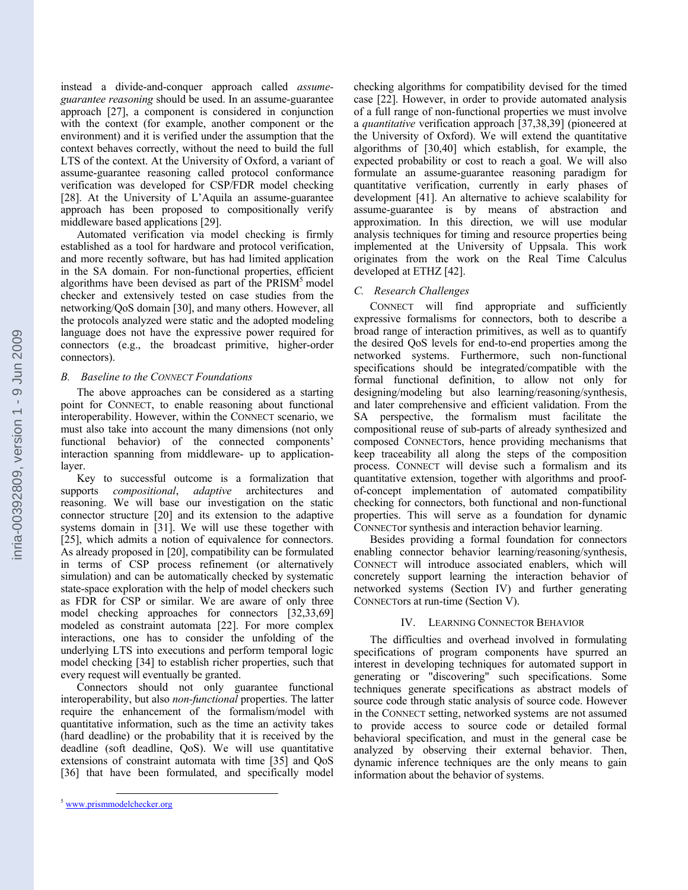inria-00392809, version 1 - 9 Jun 2009 inria-00392809, version 1 - 9 Jun 2009 instead a divide-and-conquer approach called *assumeguarantee reasoning* should be used. In an assume-guarantee approach [27], a component is considered in conjunction with the context (for example, another component or the environment) and it is verified under the assumption that the context behaves correctly, without the need to build the full LTS of the context. At the University of Oxford, a variant of assume-guarantee reasoning called protocol conformance verification was developed for CSP/FDR model checking [28]. At the University of L'Aquila an assume-guarantee approach has been proposed to compositionally verify middleware based applications [29].

Automated verification via model checking is firmly established as a tool for hardware and protocol verification, and more recently software, but has had limited application in the SA domain. For non-functional properties, efficient algorithms have been devised as part of the PRISM<sup>5</sup> model checker and extensively tested on case studies from the networking/QoS domain [30], and many others. However, all the protocols analyzed were static and the adopted modeling language does not have the expressive power required for connectors (e.g., the broadcast primitive, higher-order connectors).

### *B. Baseline to the CONNECT Foundations*

The above approaches can be considered as a starting point for CONNECT, to enable reasoning about functional interoperability. However, within the CONNECT scenario, we must also take into account the many dimensions (not only functional behavior) of the connected components' interaction spanning from middleware- up to applicationlayer.

Key to successful outcome is a formalization that supports *compositional*, *adaptive* architectures and reasoning. We will base our investigation on the static connector structure [20] and its extension to the adaptive systems domain in [31]. We will use these together with [25], which admits a notion of equivalence for connectors. As already proposed in [20], compatibility can be formulated in terms of CSP process refinement (or alternatively simulation) and can be automatically checked by systematic state-space exploration with the help of model checkers such as FDR for CSP or similar. We are aware of only three model checking approaches for connectors [32,33,69] modeled as constraint automata [22]. For more complex interactions, one has to consider the unfolding of the underlying LTS into executions and perform temporal logic model checking [34] to establish richer properties, such that every request will eventually be granted.

Connectors should not only guarantee functional interoperability, but also *non-functional* properties. The latter require the enhancement of the formalism/model with quantitative information, such as the time an activity takes (hard deadline) or the probability that it is received by the deadline (soft deadline, QoS). We will use quantitative extensions of constraint automata with time [35] and QoS [36] that have been formulated, and specifically model checking algorithms for compatibility devised for the timed case [22]. However, in order to provide automated analysis of a full range of non-functional properties we must involve a *quantitative* verification approach [37,38,39] (pioneered at the University of Oxford). We will extend the quantitative algorithms of [30,40] which establish, for example, the expected probability or cost to reach a goal. We will also formulate an assume-guarantee reasoning paradigm for quantitative verification, currently in early phases of development [41]. An alternative to achieve scalability for assume-guarantee is by means of abstraction and approximation. In this direction, we will use modular analysis techniques for timing and resource properties being implemented at the University of Uppsala. This work originates from the work on the Real Time Calculus developed at ETHZ [42].

### *C. Research Challenges*

CONNECT will find appropriate and sufficiently expressive formalisms for connectors, both to describe a broad range of interaction primitives, as well as to quantify the desired QoS levels for end-to-end properties among the networked systems. Furthermore, such non-functional specifications should be integrated/compatible with the formal functional definition, to allow not only for designing/modeling but also learning/reasoning/synthesis, and later comprehensive and efficient validation. From the SA perspective, the formalism must facilitate the compositional reuse of sub-parts of already synthesized and composed CONNECTors, hence providing mechanisms that keep traceability all along the steps of the composition process. CONNECT will devise such a formalism and its quantitative extension, together with algorithms and proofof-concept implementation of automated compatibility checking for connectors, both functional and non-functional properties. This will serve as a foundation for dynamic CONNECTor synthesis and interaction behavior learning.

Besides providing a formal foundation for connectors enabling connector behavior learning/reasoning/synthesis, CONNECT will introduce associated enablers, which will concretely support learning the interaction behavior of networked systems (Section IV) and further generating CONNECTors at run-time (Section V).

### IV. LEARNING CONNECTOR BEHAVIOR

The difficulties and overhead involved in formulating specifications of program components have spurred an interest in developing techniques for automated support in generating or "discovering" such specifications. Some techniques generate specifications as abstract models of source code through static analysis of source code. However in the CONNECT setting, networked systems are not assumed to provide access to source code or detailed formal behavioral specification, and must in the general case be analyzed by observing their external behavior. Then, dynamic inference techniques are the only means to gain information about the behavior of systems.

 <sup>5</sup> www.prismmodelchecker.org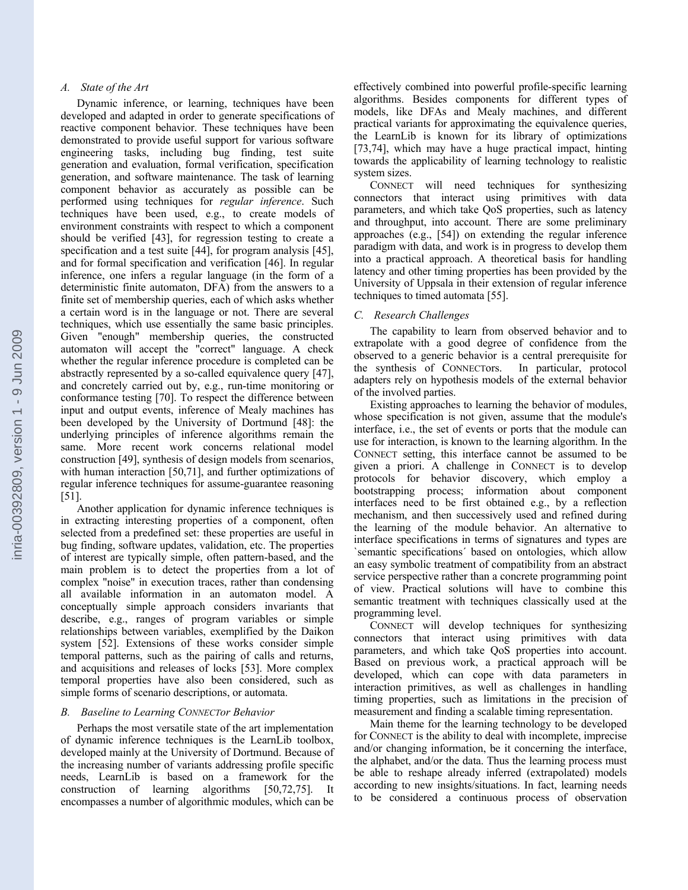## *A. State of the Art*

Dynamic inference, or learning, techniques have been developed and adapted in order to generate specifications of reactive component behavior. These techniques have been demonstrated to provide useful support for various software engineering tasks, including bug finding, test suite generation and evaluation, formal verification, specification generation, and software maintenance. The task of learning component behavior as accurately as possible can be performed using techniques for *regular inference*. Such techniques have been used, e.g., to create models of environment constraints with respect to which a component should be verified [43], for regression testing to create a specification and a test suite [44], for program analysis [45], and for formal specification and verification [46]. In regular inference, one infers a regular language (in the form of a deterministic finite automaton, DFA) from the answers to a finite set of membership queries, each of which asks whether a certain word is in the language or not. There are several techniques, which use essentially the same basic principles. Given "enough" membership queries, the constructed automaton will accept the "correct" language. A check whether the regular inference procedure is completed can be abstractly represented by a so-called equivalence query [47], and concretely carried out by, e.g., run-time monitoring or conformance testing [70]. To respect the difference between input and output events, inference of Mealy machines has been developed by the University of Dortmund [48]: the underlying principles of inference algorithms remain the same. More recent work concerns relational model construction [49], synthesis of design models from scenarios, with human interaction [50,71], and further optimizations of regular inference techniques for assume-guarantee reasoning [51].

Another application for dynamic inference techniques is in extracting interesting properties of a component, often selected from a predefined set: these properties are useful in bug finding, software updates, validation, etc. The properties of interest are typically simple, often pattern-based, and the main problem is to detect the properties from a lot of complex "noise" in execution traces, rather than condensing all available information in an automaton model. A conceptually simple approach considers invariants that describe, e.g., ranges of program variables or simple relationships between variables, exemplified by the Daikon system [52]. Extensions of these works consider simple temporal patterns, such as the pairing of calls and returns, and acquisitions and releases of locks [53]. More complex temporal properties have also been considered, such as simple forms of scenario descriptions, or automata.

### *B. Baseline to Learning CONNECTor Behavior*

Perhaps the most versatile state of the art implementation of dynamic inference techniques is the LearnLib toolbox, developed mainly at the University of Dortmund. Because of the increasing number of variants addressing profile specific needs, LearnLib is based on a framework for the construction of learning algorithms [50,72,75]. It encompasses a number of algorithmic modules, which can be

effectively combined into powerful profile-specific learning algorithms. Besides components for different types of models, like DFAs and Mealy machines, and different practical variants for approximating the equivalence queries, the LearnLib is known for its library of optimizations [73,74], which may have a huge practical impact, hinting towards the applicability of learning technology to realistic system sizes.

CONNECT will need techniques for synthesizing connectors that interact using primitives with data parameters, and which take QoS properties, such as latency and throughput, into account. There are some preliminary approaches (e.g., [54]) on extending the regular inference paradigm with data, and work is in progress to develop them into a practical approach. A theoretical basis for handling latency and other timing properties has been provided by the University of Uppsala in their extension of regular inference techniques to timed automata [55].

### *C. Research Challenges*

The capability to learn from observed behavior and to extrapolate with a good degree of confidence from the observed to a generic behavior is a central prerequisite for the synthesis of CONNECTors. In particular, protocol adapters rely on hypothesis models of the external behavior of the involved parties.

Existing approaches to learning the behavior of modules, whose specification is not given, assume that the module's interface, i.e., the set of events or ports that the module can use for interaction, is known to the learning algorithm. In the CONNECT setting, this interface cannot be assumed to be given a priori. A challenge in CONNECT is to develop protocols for behavior discovery, which employ a bootstrapping process; information about component interfaces need to be first obtained e.g., by a reflection mechanism, and then successively used and refined during the learning of the module behavior. An alternative to interface specifications in terms of signatures and types are `semantic specifications´ based on ontologies, which allow an easy symbolic treatment of compatibility from an abstract service perspective rather than a concrete programming point of view. Practical solutions will have to combine this semantic treatment with techniques classically used at the programming level.

CONNECT will develop techniques for synthesizing connectors that interact using primitives with data parameters, and which take QoS properties into account. Based on previous work, a practical approach will be developed, which can cope with data parameters in interaction primitives, as well as challenges in handling timing properties, such as limitations in the precision of measurement and finding a scalable timing representation.

Main theme for the learning technology to be developed for CONNECT is the ability to deal with incomplete, imprecise and/or changing information, be it concerning the interface, the alphabet, and/or the data. Thus the learning process must be able to reshape already inferred (extrapolated) models according to new insights/situations. In fact, learning needs to be considered a continuous process of observation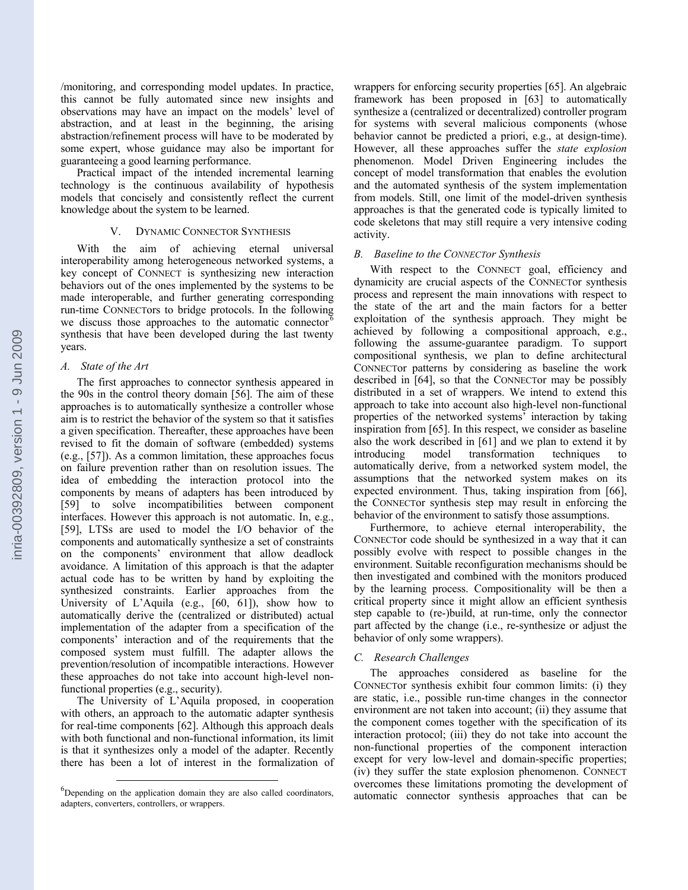/monitoring, and corresponding model updates. In practice, this cannot be fully automated since new insights and observations may have an impact on the models' level of abstraction, and at least in the beginning, the arising abstraction/refinement process will have to be moderated by some expert, whose guidance may also be important for guaranteeing a good learning performance.

Practical impact of the intended incremental learning technology is the continuous availability of hypothesis models that concisely and consistently reflect the current knowledge about the system to be learned.

### V. DYNAMIC CONNECTOR SYNTHESIS

With the aim of achieving eternal universal interoperability among heterogeneous networked systems, a key concept of CONNECT is synthesizing new interaction behaviors out of the ones implemented by the systems to be made interoperable, and further generating corresponding run-time CONNECTors to bridge protocols. In the following we discuss those approaches to the automatic connector  $6$ synthesis that have been developed during the last twenty years.

### *A. State of the Art*

The first approaches to connector synthesis appeared in the 90s in the control theory domain [56]. The aim of these approaches is to automatically synthesize a controller whose aim is to restrict the behavior of the system so that it satisfies a given specification. Thereafter, these approaches have been revised to fit the domain of software (embedded) systems (e.g., [57]). As a common limitation, these approaches focus on failure prevention rather than on resolution issues. The idea of embedding the interaction protocol into the components by means of adapters has been introduced by [59] to solve incompatibilities between component interfaces. However this approach is not automatic. In, e.g., [59], LTSs are used to model the I/O behavior of the components and automatically synthesize a set of constraints on the components' environment that allow deadlock avoidance. A limitation of this approach is that the adapter actual code has to be written by hand by exploiting the synthesized constraints. Earlier approaches from the University of L'Aquila (e.g., [60, 61]), show how to automatically derive the (centralized or distributed) actual implementation of the adapter from a specification of the components' interaction and of the requirements that the composed system must fulfill. The adapter allows the prevention/resolution of incompatible interactions. However these approaches do not take into account high-level nonfunctional properties (e.g., security).

The University of L'Aquila proposed, in cooperation with others, an approach to the automatic adapter synthesis for real-time components [62]. Although this approach deals with both functional and non-functional information, its limit is that it synthesizes only a model of the adapter. Recently there has been a lot of interest in the formalization of wrappers for enforcing security properties [65]. An algebraic framework has been proposed in [63] to automatically synthesize a (centralized or decentralized) controller program for systems with several malicious components (whose behavior cannot be predicted a priori, e.g., at design-time). However, all these approaches suffer the *state explosion* phenomenon. Model Driven Engineering includes the concept of model transformation that enables the evolution and the automated synthesis of the system implementation from models. Still, one limit of the model-driven synthesis approaches is that the generated code is typically limited to code skeletons that may still require a very intensive coding activity.

### *B. Baseline to the CONNECTor Synthesis*

With respect to the CONNECT goal, efficiency and dynamicity are crucial aspects of the CONNECTor synthesis process and represent the main innovations with respect to the state of the art and the main factors for a better exploitation of the synthesis approach. They might be achieved by following a compositional approach, e.g., following the assume-guarantee paradigm. To support compositional synthesis, we plan to define architectural CONNECTor patterns by considering as baseline the work described in [64], so that the CONNECTor may be possibly distributed in a set of wrappers. We intend to extend this approach to take into account also high-level non-functional properties of the networked systems' interaction by taking inspiration from [65]. In this respect, we consider as baseline also the work described in [61] and we plan to extend it by introducing model transformation techniques to automatically derive, from a networked system model, the assumptions that the networked system makes on its expected environment. Thus, taking inspiration from [66], the CONNECTor synthesis step may result in enforcing the behavior of the environment to satisfy those assumptions.

Furthermore, to achieve eternal interoperability, the CONNECTor code should be synthesized in a way that it can possibly evolve with respect to possible changes in the environment. Suitable reconfiguration mechanisms should be then investigated and combined with the monitors produced by the learning process. Compositionality will be then a critical property since it might allow an efficient synthesis step capable to (re-)build, at run-time, only the connector part affected by the change (i.e., re-synthesize or adjust the behavior of only some wrappers).

### *C. Research Challenges*

The approaches considered as baseline for the CONNECTor synthesis exhibit four common limits: (i) they are static, i.e., possible run-time changes in the connector environment are not taken into account; (ii) they assume that the component comes together with the specification of its interaction protocol; (iii) they do not take into account the non-functional properties of the component interaction except for very low-level and domain-specific properties; (iv) they suffer the state explosion phenomenon. CONNECT overcomes these limitations promoting the development of automatic connector synthesis approaches that can be

<sup>&</sup>lt;sup>6</sup>Depending on the application domain they are also called coordinators, adapters, converters, controllers, or wrappers.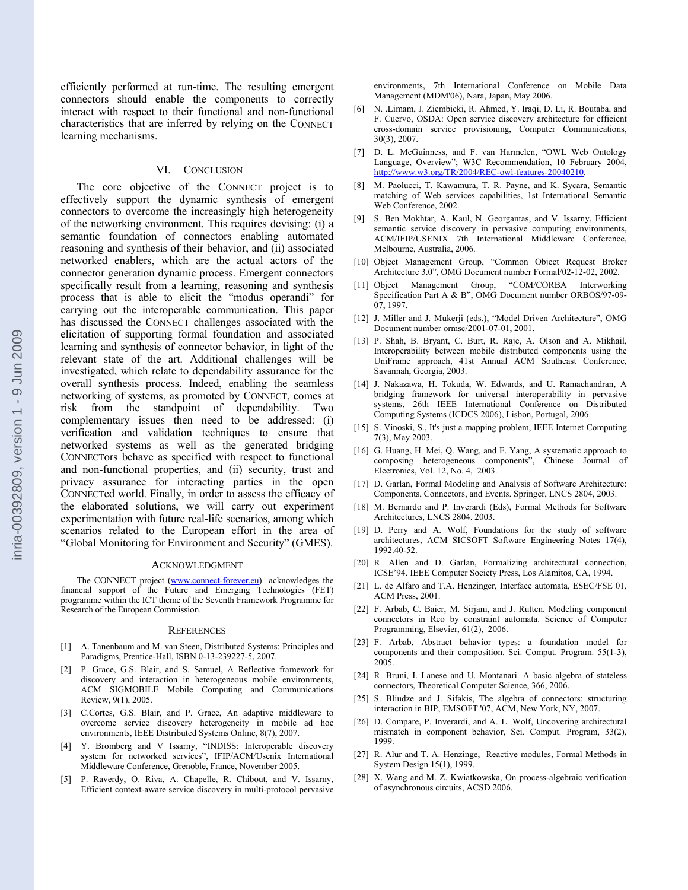efficiently performed at run-time. The resulting emergent connectors should enable the components to correctly interact with respect to their functional and non-functional characteristics that are inferred by relying on the CONNECT learning mechanisms.

### VI. CONCLUSION

The core objective of the CONNECT project is to effectively support the dynamic synthesis of emergent connectors to overcome the increasingly high heterogeneity of the networking environment. This requires devising: (i) a semantic foundation of connectors enabling automated reasoning and synthesis of their behavior, and (ii) associated networked enablers, which are the actual actors of the connector generation dynamic process. Emergent connectors specifically result from a learning, reasoning and synthesis process that is able to elicit the "modus operandi" for carrying out the interoperable communication. This paper has discussed the CONNECT challenges associated with the elicitation of supporting formal foundation and associated learning and synthesis of connector behavior, in light of the relevant state of the art. Additional challenges will be investigated, which relate to dependability assurance for the overall synthesis process. Indeed, enabling the seamless networking of systems, as promoted by CONNECT, comes at risk from the standpoint of dependability. Two complementary issues then need to be addressed: (i) verification and validation techniques to ensure that networked systems as well as the generated bridging CONNECTors behave as specified with respect to functional and non-functional properties, and (ii) security, trust and privacy assurance for interacting parties in the open CONNECTed world. Finally, in order to assess the efficacy of the elaborated solutions, we will carry out experiment experimentation with future real-life scenarios, among which scenarios related to the European effort in the area of "Global Monitoring for Environment and Security" (GMES).

#### ACKNOWLEDGMENT

The CONNECT project (www.connect-forever.eu) acknowledges the financial support of the Future and Emerging Technologies (FET) programme within the ICT theme of the Seventh Framework Programme for Research of the European Commission.

#### **REFERENCES**

- [1] A. Tanenbaum and M. van Steen, Distributed Systems: Principles and Paradigms, Prentice-Hall, ISBN 0-13-239227-5, 2007.
- [2] P. Grace, G.S. Blair, and S. Samuel, A Reflective framework for discovery and interaction in heterogeneous mobile environments, ACM SIGMOBILE Mobile Computing and Communications Review, 9(1), 2005.
- [3] C.Cortes, G.S. Blair, and P. Grace, An adaptive middleware to overcome service discovery heterogeneity in mobile ad hoc environments, IEEE Distributed Systems Online, 8(7), 2007.
- [4] Y. Bromberg and V Issarny, "INDISS: Interoperable discovery system for networked services", IFIP/ACM/Usenix International Middleware Conference, Grenoble, France, November 2005.
- [5] P. Raverdy, O. Riva, A. Chapelle, R. Chibout, and V. Issarny, Efficient context-aware service discovery in multi-protocol pervasive

environments, 7th International Conference on Mobile Data Management (MDM'06), Nara, Japan, May 2006.

- [6] N. .Limam, J. Ziembicki, R. Ahmed, Y. Iraqi, D. Li, R. Boutaba, and F. Cuervo, OSDA: Open service discovery architecture for efficient cross-domain service provisioning, Computer Communications, 30(3), 2007.
- [7] D. L. McGuinness, and F. van Harmelen, "OWL Web Ontology Language, Overview"; W3C Recommendation, 10 February 2004, http://www.w3.org/TR/2004/REC-owl-features-20040210.
- [8] M. Paolucci, T. Kawamura, T. R. Payne, and K. Sycara, Semantic matching of Web services capabilities, 1st International Semantic Web Conference, 2002.
- [9] S. Ben Mokhtar, A. Kaul, N. Georgantas, and V. Issarny, Efficient semantic service discovery in pervasive computing environments, ACM/IFIP/USENIX 7th International Middleware Conference, Melbourne, Australia, 2006.
- [10] Object Management Group, "Common Object Request Broker Architecture 3.0", OMG Document number Formal/02-12-02, 2002.
- [11] Object Management Group, "COM/CORBA Interworking Specification Part A & B", OMG Document number ORBOS/97-09- 07, 1997.
- [12] J. Miller and J. Mukerji (eds.), "Model Driven Architecture", OMG Document number ormsc/2001-07-01, 2001.
- [13] P. Shah, B. Bryant, C. Burt, R. Raje, A. Olson and A. Mikhail, Interoperability between mobile distributed components using the UniFrame approach, 41st Annual ACM Southeast Conference, Savannah, Georgia, 2003.
- [14] J. Nakazawa, H. Tokuda, W. Edwards, and U. Ramachandran, A bridging framework for universal interoperability in pervasive systems, 26th IEEE International Conference on Distributed Computing Systems (ICDCS 2006), Lisbon, Portugal, 2006.
- [15] S. Vinoski, S., It's just a mapping problem, IEEE Internet Computing 7(3), May 2003.
- [16] G. Huang, H. Mei, Q. Wang, and F. Yang, A systematic approach to composing heterogeneous components", Chinese Journal of Electronics, Vol. 12, No. 4, 2003.
- [17] D. Garlan, Formal Modeling and Analysis of Software Architecture: Components, Connectors, and Events. Springer, LNCS 2804, 2003.
- [18] M. Bernardo and P. Inverardi (Eds), Formal Methods for Software Architectures, LNCS 2804. 2003.
- [19] D. Perry and A. Wolf, Foundations for the study of software architectures, ACM SICSOFT Software Engineering Notes 17(4), 1992.40-52.
- [20] R. Allen and D. Garlan, Formalizing architectural connection, ICSE'94. IEEE Computer Society Press, Los Alamitos, CA, 1994.
- [21] L. de Alfaro and T.A. Henzinger, Interface automata, ESEC/FSE 01, ACM Press, 2001.
- [22] F. Arbab, C. Baier, M. Sirjani, and J. Rutten. Modeling component connectors in Reo by constraint automata. Science of Computer Programming, Elsevier, 61(2), 2006.
- [23] F. Arbab, Abstract behavior types: a foundation model for components and their composition. Sci. Comput. Program. 55(1-3), 2005.
- [24] R. Bruni, I. Lanese and U. Montanari. A basic algebra of stateless connectors, Theoretical Computer Science, 366, 2006.
- [25] S. Bliudze and J. Sifakis, The algebra of connectors: structuring interaction in BIP, EMSOFT '07, ACM, New York, NY, 2007.
- [26] D. Compare, P. Inverardi, and A. L. Wolf, Uncovering architectural mismatch in component behavior, Sci. Comput. Program, 33(2), 1999.
- [27] R. Alur and T. A. Henzinge, Reactive modules, Formal Methods in System Design 15(1), 1999.
- [28] X. Wang and M. Z. Kwiatkowska, On process-algebraic verification of asynchronous circuits, ACSD 2006.